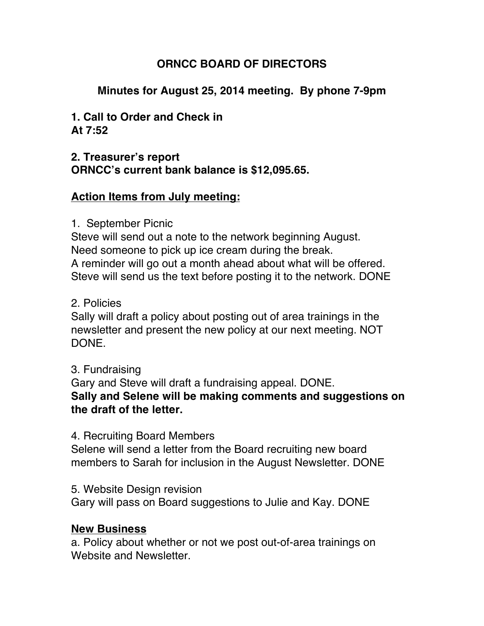# **ORNCC BOARD OF DIRECTORS**

# **Minutes for August 25, 2014 meeting. By phone 7-9pm**

**1. Call to Order and Check in At 7:52**

### **2. Treasurer's report ORNCC's current bank balance is \$12,095.65.**

## **Action Items from July meeting:**

#### 1. September Picnic

Steve will send out a note to the network beginning August. Need someone to pick up ice cream during the break. A reminder will go out a month ahead about what will be offered. Steve will send us the text before posting it to the network. DONE

#### 2. Policies

Sally will draft a policy about posting out of area trainings in the newsletter and present the new policy at our next meeting. NOT DONE.

#### 3. Fundraising

Gary and Steve will draft a fundraising appeal. DONE. **Sally and Selene will be making comments and suggestions on the draft of the letter.** 

#### 4. Recruiting Board Members

Selene will send a letter from the Board recruiting new board members to Sarah for inclusion in the August Newsletter. DONE

5. Website Design revision

Gary will pass on Board suggestions to Julie and Kay. DONE

#### **New Business**

a. Policy about whether or not we post out-of-area trainings on Website and Newsletter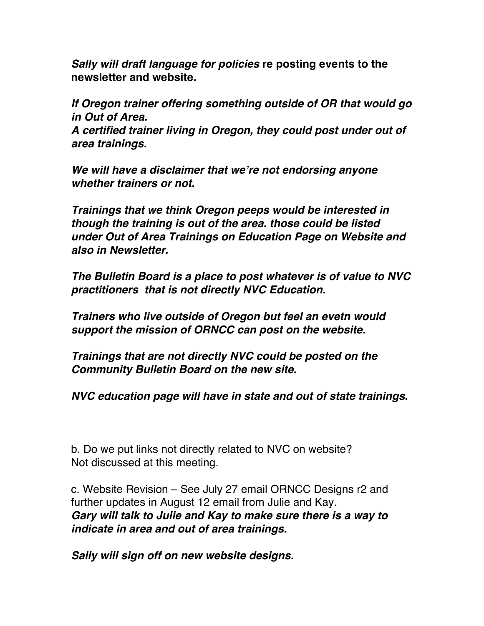*Sally will draft language for policies* **re posting events to the newsletter and website.**

*If Oregon trainer offering something outside of OR that would go in Out of Area.*

*A certified trainer living in Oregon, they could post under out of area trainings.*

*We will have a disclaimer that we're not endorsing anyone whether trainers or not.*

*Trainings that we think Oregon peeps would be interested in though the training is out of the area. those could be listed under Out of Area Trainings on Education Page on Website and also in Newsletter.*

*The Bulletin Board is a place to post whatever is of value to NVC practitioners that is not directly NVC Education.*

*Trainers who live outside of Oregon but feel an evetn would support the mission of ORNCC can post on the website.* 

*Trainings that are not directly NVC could be posted on the Community Bulletin Board on the new site.*

*NVC education page will have in state and out of state trainings***.**

b. Do we put links not directly related to NVC on website? Not discussed at this meeting.

c. Website Revision – See July 27 email ORNCC Designs r2 and further updates in August 12 email from Julie and Kay. *Gary will talk to Julie and Kay to make sure there is a way to indicate in area and out of area trainings.*

*Sally will sign off on new website designs.*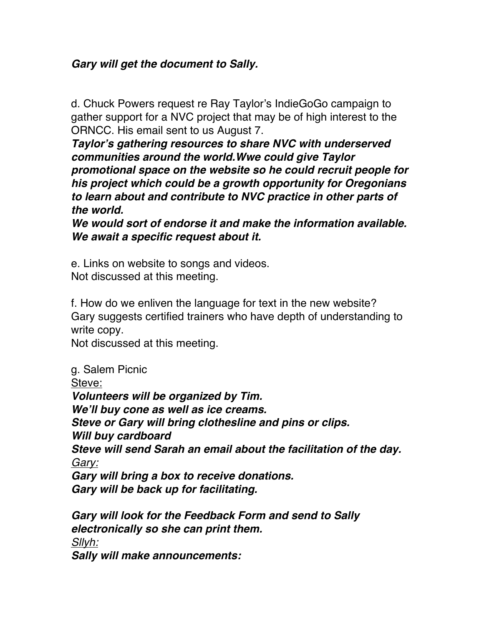# *Gary will get the document to Sally.*

d. Chuck Powers request re Ray Taylor's IndieGoGo campaign to gather support for a NVC project that may be of high interest to the ORNCC. His email sent to us August 7.

*Taylor's gathering resources to share NVC with underserved communities around the world.Wwe could give Taylor promotional space on the website so he could recruit people for his project which could be a growth opportunity for Oregonians to learn about and contribute to NVC practice in other parts of the world.*

*We would sort of endorse it and make the information available. We await a specific request about it.*

e. Links on website to songs and videos. Not discussed at this meeting.

f. How do we enliven the language for text in the new website? Gary suggests certified trainers who have depth of understanding to write copy.

Not discussed at this meeting.

g. Salem Picnic

Steve:

*Volunteers will be organized by Tim. We'll buy cone as well as ice creams. Steve or Gary will bring clothesline and pins or clips. Will buy cardboard Steve will send Sarah an email about the facilitation of the day. Gary: Gary will bring a box to receive donations. Gary will be back up for facilitating. Gary will look for the Feedback Form and send to Sally* 

*electronically so she can print them. Sllyh: Sally will make announcements:*